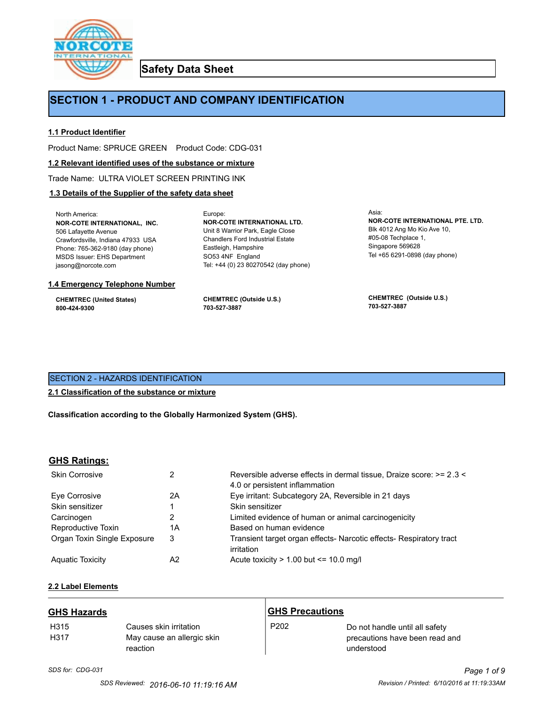

**Safety Data Sheet**

# **SECTION 1 - PRODUCT AND COMPANY IDENTIFICATION**

Europe:

# **1.1 Product Identifier**

Product Name: SPRUCE GREEN Product Code: CDG-031

## **1.2 Relevant identified uses of the substance or mixture**

Trade Name: ULTRA VIOLET SCREEN PRINTING INK

# **1.3 Details of the Supplier of the safety data sheet**

North America: **NOR-COTE INTERNATIONAL, INC.** 506 Lafayette Avenue Crawfordsville, Indiana 47933 USA Phone: 765-362-9180 (day phone) MSDS Issuer: EHS Department jasong@norcote.com

#### **1.4 Emergency Telephone Number**

**CHEMTREC (United States) 800-424-9300**

**CHEMTREC (Outside U.S.) 703-527-3887**

Eastleigh, Hampshire SO53 4NF England

**NOR-COTE INTERNATIONAL LTD.** Unit 8 Warrior Park, Eagle Close Chandlers Ford Industrial Estate

Tel: +44 (0) 23 80270542 (day phone)

Asia: **NOR-COTE INTERNATIONAL PTE. LTD.** Blk 4012 Ang Mo Kio Ave 10, #05-08 Techplace 1, Singapore 569628 Tel +65 6291-0898 (day phone)

**CHEMTREC (Outside U.S.) 703-527-3887**

# SECTION 2 - HAZARDS IDENTIFICATION

# **2.1 Classification of the substance or mixture**

**Classification according to the Globally Harmonized System (GHS).**

# **GHS Ratings:**

| <b>Skin Corrosive</b>       | 2  | Reversible adverse effects in dermal tissue, Draize score: >= 2.3 <<br>4.0 or persistent inflammation |
|-----------------------------|----|-------------------------------------------------------------------------------------------------------|
| Eve Corrosive               | 2A | Eye irritant: Subcategory 2A, Reversible in 21 days                                                   |
| Skin sensitizer             |    | Skin sensitizer                                                                                       |
| Carcinogen                  |    | Limited evidence of human or animal carcinogenicity                                                   |
| Reproductive Toxin          | 1A | Based on human evidence                                                                               |
| Organ Toxin Single Exposure | 3  | Transient target organ effects- Narcotic effects- Respiratory tract<br>irritation                     |
| <b>Aguatic Toxicity</b>     | A2 | Acute toxicity $> 1.00$ but $\leq 10.0$ mg/l                                                          |

# **2.2 Label Elements**

| <b>GHS Hazards</b> |                                                                  | <b>GHS Precautions</b> |                                                                                |
|--------------------|------------------------------------------------------------------|------------------------|--------------------------------------------------------------------------------|
| H315<br>H317       | Causes skin irritation<br>May cause an allergic skin<br>reaction | P <sub>202</sub>       | Do not handle until all safety<br>precautions have been read and<br>understood |

*SDS for: CDG-031 Page 1 of 9*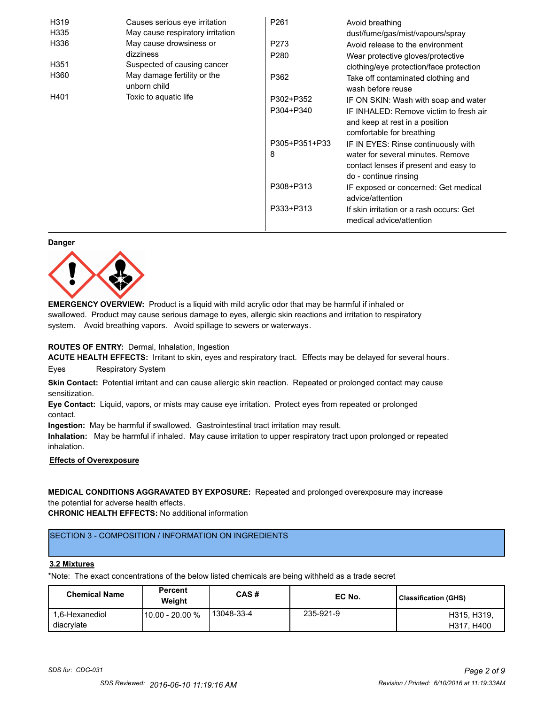| H319             | Causes serious eye irritation               | P <sub>261</sub> | Avoid breathing                                                      |
|------------------|---------------------------------------------|------------------|----------------------------------------------------------------------|
| H335             | May cause respiratory irritation            |                  | dust/fume/gas/mist/vapours/spray                                     |
| H336             | May cause drowsiness or                     | P273             | Avoid release to the environment                                     |
|                  | dizziness                                   | P <sub>280</sub> | Wear protective gloves/protective                                    |
| H <sub>351</sub> | Suspected of causing cancer                 |                  | clothing/eye protection/face protection                              |
| H360             | May damage fertility or the<br>unborn child | P362             | Take off contaminated clothing and<br>wash before reuse              |
| H401             | Toxic to aquatic life                       | P302+P352        | IF ON SKIN: Wash with soap and water                                 |
|                  |                                             | P304+P340        | IF INHALED: Remove victim to fresh air                               |
|                  |                                             |                  | and keep at rest in a position                                       |
|                  |                                             |                  | comfortable for breathing                                            |
|                  |                                             | P305+P351+P33    | IF IN EYES: Rinse continuously with                                  |
|                  |                                             | 8                | water for several minutes. Remove                                    |
|                  |                                             |                  | contact lenses if present and easy to                                |
|                  |                                             |                  | do - continue rinsing                                                |
|                  |                                             | P308+P313        | IF exposed or concerned: Get medical                                 |
|                  |                                             |                  | advice/attention                                                     |
|                  |                                             | P333+P313        | If skin irritation or a rash occurs: Get<br>medical advice/attention |

#### **Danger**



**EMERGENCY OVERVIEW:** Product is a liquid with mild acrylic odor that may be harmful if inhaled or swallowed. Product may cause serious damage to eyes, allergic skin reactions and irritation to respiratory system. Avoid breathing vapors. Avoid spillage to sewers or waterways.

## **ROUTES OF ENTRY:** Dermal, Inhalation, Ingestion

**ACUTE HEALTH EFFECTS:** Irritant to skin, eyes and respiratory tract. Effects may be delayed for several hours. Eyes Respiratory System

**Skin Contact:** Potential irritant and can cause allergic skin reaction. Repeated or prolonged contact may cause sensitization.

**Eye Contact:** Liquid, vapors, or mists may cause eye irritation. Protect eyes from repeated or prolonged contact.

**Ingestion:** May be harmful if swallowed. Gastrointestinal tract irritation may result.

**Inhalation:** May be harmful if inhaled. May cause irritation to upper respiratory tract upon prolonged or repeated inhalation.

# **Effects of Overexposure**

**MEDICAL CONDITIONS AGGRAVATED BY EXPOSURE:** Repeated and prolonged overexposure may increase the potential for adverse health effects.

**CHRONIC HEALTH EFFECTS:** No additional information

# SECTION 3 - COMPOSITION / INFORMATION ON INGREDIENTS

#### **3.2 Mixtures**

\*Note: The exact concentrations of the below listed chemicals are being withheld as a trade secret

| <b>Chemical Name</b>         | <b>Percent</b><br>Weiaht | CAS#       | EC No.    | Classification (GHS)      |
|------------------------------|--------------------------|------------|-----------|---------------------------|
| 1.6-Hexanediol<br>diacrylate | 10.00 - 20.00 %          | 13048-33-4 | 235-921-9 | H315, H319.<br>H317, H400 |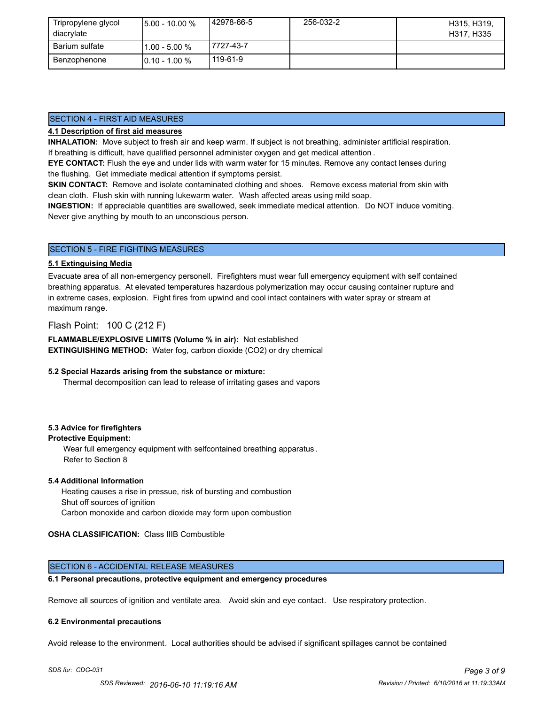| Tripropylene glycol<br>diacrylate | $15.00 - 10.00 %$ | 42978-66-5 | 256-032-2 | H315, H319,<br>H317, H335 |
|-----------------------------------|-------------------|------------|-----------|---------------------------|
| Barium sulfate                    | l1.00 - 5.00 %    | 7727-43-7  |           |                           |
| Benzophenone                      | $10.10 - 1.00 %$  | 119-61-9   |           |                           |

# SECTION 4 - FIRST AID MEASURES

## **4.1 Description of first aid measures**

**INHALATION:** Move subject to fresh air and keep warm. If subject is not breathing, administer artificial respiration. If breathing is difficult, have qualified personnel administer oxygen and get medical attention .

**EYE CONTACT:** Flush the eye and under lids with warm water for 15 minutes. Remove any contact lenses during the flushing. Get immediate medical attention if symptoms persist.

**SKIN CONTACT:** Remove and isolate contaminated clothing and shoes. Remove excess material from skin with clean cloth. Flush skin with running lukewarm water. Wash affected areas using mild soap.

**INGESTION:** If appreciable quantities are swallowed, seek immediate medical attention. Do NOT induce vomiting. Never give anything by mouth to an unconscious person.

### SECTION 5 - FIRE FIGHTING MEASURES

#### **5.1 Extinguising Media**

Evacuate area of all non-emergency personell. Firefighters must wear full emergency equipment with self contained breathing apparatus. At elevated temperatures hazardous polymerization may occur causing container rupture and in extreme cases, explosion. Fight fires from upwind and cool intact containers with water spray or stream at maximum range.

Flash Point: 100 C (212 F)

**FLAMMABLE/EXPLOSIVE LIMITS (Volume % in air):** Not established **EXTINGUISHING METHOD:** Water fog, carbon dioxide (CO2) or dry chemical

#### **5.2 Special Hazards arising from the substance or mixture:**

Thermal decomposition can lead to release of irritating gases and vapors

## **5.3 Advice for firefighters**

### **Protective Equipment:**

Wear full emergency equipment with selfcontained breathing apparatus . Refer to Section 8

#### **5.4 Additional Information**

 Heating causes a rise in pressue, risk of bursting and combustion Shut off sources of ignition Carbon monoxide and carbon dioxide may form upon combustion

**OSHA CLASSIFICATION:** Class IIIB Combustible

## SECTION 6 - ACCIDENTAL RELEASE MEASURES

#### **6.1 Personal precautions, protective equipment and emergency procedures**

Remove all sources of ignition and ventilate area. Avoid skin and eye contact. Use respiratory protection.

#### **6.2 Environmental precautions**

Avoid release to the environment. Local authorities should be advised if significant spillages cannot be contained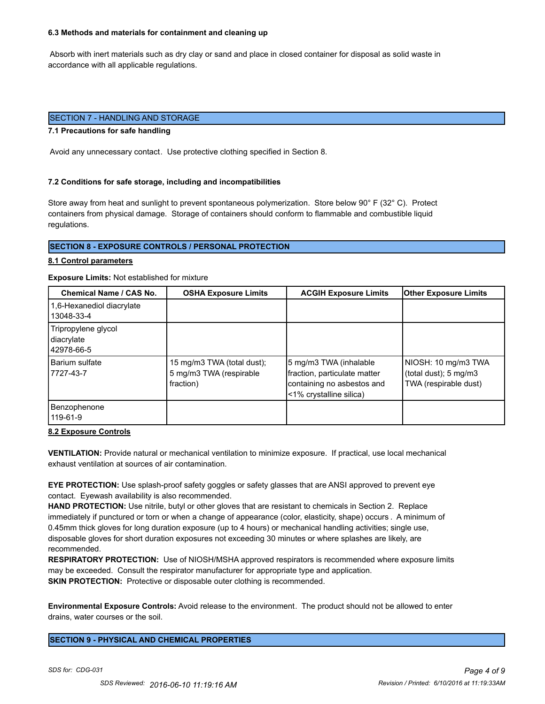#### **6.3 Methods and materials for containment and cleaning up**

 Absorb with inert materials such as dry clay or sand and place in closed container for disposal as solid waste in accordance with all applicable regulations.

# SECTION 7 - HANDLING AND STORAGE

### **7.1 Precautions for safe handling**

Avoid any unnecessary contact. Use protective clothing specified in Section 8.

#### **7.2 Conditions for safe storage, including and incompatibilities**

Store away from heat and sunlight to prevent spontaneous polymerization. Store below 90° F (32° C). Protect containers from physical damage. Storage of containers should conform to flammable and combustible liquid regulations.

# **SECTION 8 - EXPOSURE CONTROLS / PERSONAL PROTECTION**

#### **8.1 Control parameters**

#### **Exposure Limits:** Not established for mixture

| Chemical Name / CAS No.                         | <b>OSHA Exposure Limits</b>                                        | <b>ACGIH Exposure Limits</b>                                                                                    | <b>Other Exposure Limits</b>                                          |
|-------------------------------------------------|--------------------------------------------------------------------|-----------------------------------------------------------------------------------------------------------------|-----------------------------------------------------------------------|
| 1,6-Hexanediol diacrylate<br>13048-33-4         |                                                                    |                                                                                                                 |                                                                       |
| Tripropylene glycol<br>diacrylate<br>42978-66-5 |                                                                    |                                                                                                                 |                                                                       |
| Barium sulfate<br>7727-43-7                     | 15 mg/m3 TWA (total dust);<br>5 mg/m3 TWA (respirable<br>fraction) | 5 mg/m3 TWA (inhalable<br>fraction, particulate matter<br>containing no asbestos and<br><1% crystalline silica) | NIOSH: 10 mg/m3 TWA<br>(total dust); 5 mg/m3<br>TWA (respirable dust) |
| Benzophenone<br>119-61-9                        |                                                                    |                                                                                                                 |                                                                       |

## **8.2 Exposure Controls**

**VENTILATION:** Provide natural or mechanical ventilation to minimize exposure. If practical, use local mechanical exhaust ventilation at sources of air contamination.

**EYE PROTECTION:** Use splash-proof safety goggles or safety glasses that are ANSI approved to prevent eye contact. Eyewash availability is also recommended.

**HAND PROTECTION:** Use nitrile, butyl or other gloves that are resistant to chemicals in Section 2. Replace immediately if punctured or torn or when a change of appearance (color, elasticity, shape) occurs . A minimum of 0.45mm thick gloves for long duration exposure (up to 4 hours) or mechanical handling activities; single use, disposable gloves for short duration exposures not exceeding 30 minutes or where splashes are likely, are recommended.

**RESPIRATORY PROTECTION:** Use of NIOSH/MSHA approved respirators is recommended where exposure limits may be exceeded. Consult the respirator manufacturer for appropriate type and application. **SKIN PROTECTION:** Protective or disposable outer clothing is recommended.

**Environmental Exposure Controls:** Avoid release to the environment. The product should not be allowed to enter drains, water courses or the soil.

**SECTION 9 - PHYSICAL AND CHEMICAL PROPERTIES**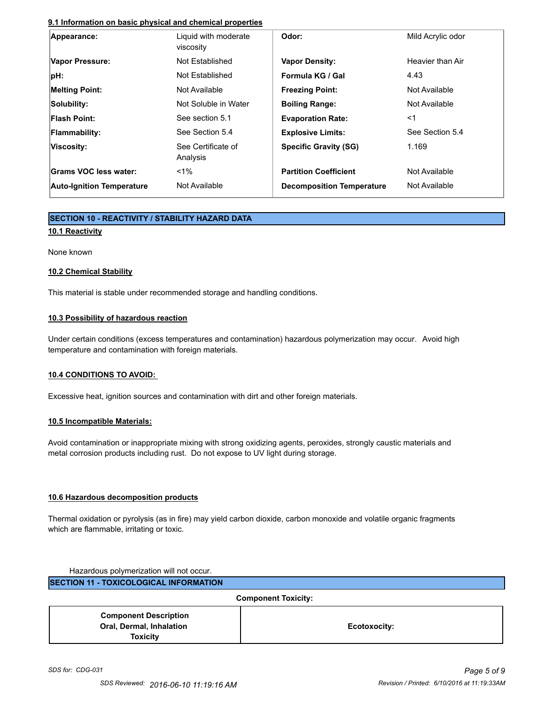# **9.1 Information on basic physical and chemical properties**

| Appearance:                      | Liquid with moderate<br>viscosity | Odor:                            | Mild Acrylic odor |
|----------------------------------|-----------------------------------|----------------------------------|-------------------|
| Vapor Pressure:                  | Not Established                   | <b>Vapor Density:</b>            | Heavier than Air  |
| pH:                              | Not Established                   | Formula KG / Gal                 | 4.43              |
| <b>Melting Point:</b>            | Not Available                     | <b>Freezing Point:</b>           | Not Available     |
| Solubility:                      | Not Soluble in Water              | <b>Boiling Range:</b>            | Not Available     |
| <b>Flash Point:</b>              | See section 5.1                   | <b>Evaporation Rate:</b>         | $<$ 1             |
| <b>Flammability:</b>             | See Section 5.4                   | <b>Explosive Limits:</b>         | See Section 5.4   |
| Viscosity:                       | See Certificate of<br>Analysis    | <b>Specific Gravity (SG)</b>     | 1.169             |
| Grams VOC less water:            | $1\%$                             | <b>Partition Coefficient</b>     | Not Available     |
| <b>Auto-Ignition Temperature</b> | Not Available                     | <b>Decomposition Temperature</b> | Not Available     |

# **SECTION 10 - REACTIVITY / STABILITY HAZARD DATA**

# **10.1 Reactivity**

None known

# **10.2 Chemical Stability**

This material is stable under recommended storage and handling conditions.

# **10.3 Possibility of hazardous reaction**

Under certain conditions (excess temperatures and contamination) hazardous polymerization may occur. Avoid high temperature and contamination with foreign materials.

## **10.4 CONDITIONS TO AVOID:**

Excessive heat, ignition sources and contamination with dirt and other foreign materials.

# **10.5 Incompatible Materials:**

Avoid contamination or inappropriate mixing with strong oxidizing agents, peroxides, strongly caustic materials and metal corrosion products including rust. Do not expose to UV light during storage.

# **10.6 Hazardous decomposition products**

Thermal oxidation or pyrolysis (as in fire) may yield carbon dioxide, carbon monoxide and volatile organic fragments which are flammable, irritating or toxic.

Hazardous polymerization will not occur. **SECTION 11 - TOXICOLOGICAL INFORMATION**

**Component Toxicity: Component Description Oral, Dermal, Inhalation Toxicity Ecotoxocity:**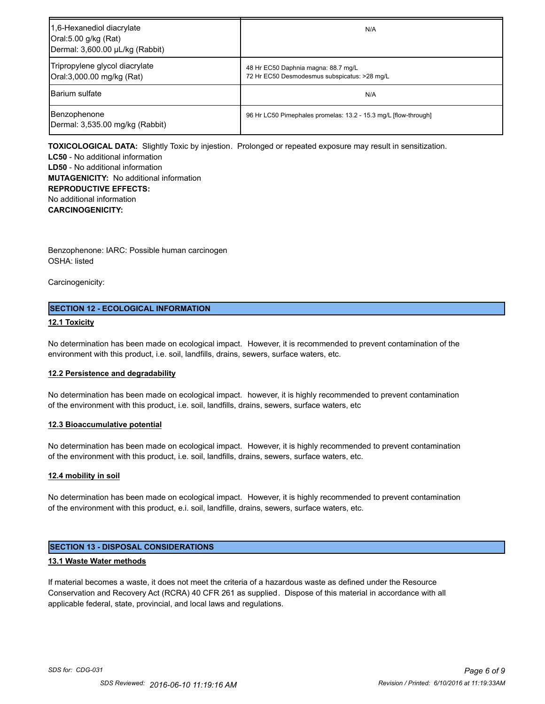| 1,6-Hexanediol diacrylate<br>Oral:5.00 g/kg (Rat)<br>Dermal: 3,600.00 µL/kg (Rabbit) | N/A                                                                                 |
|--------------------------------------------------------------------------------------|-------------------------------------------------------------------------------------|
| Tripropylene glycol diacrylate<br>Oral:3,000.00 mg/kg (Rat)                          | 48 Hr EC50 Daphnia magna: 88.7 mg/L<br>72 Hr EC50 Desmodesmus subspicatus: >28 mg/L |
| <b>Barium sulfate</b>                                                                | N/A                                                                                 |
| Benzophenone<br>Dermal: 3,535.00 mg/kg (Rabbit)                                      | 96 Hr LC50 Pimephales promelas: 13.2 - 15.3 mg/L [flow-through]                     |

**TOXICOLOGICAL DATA:** Slightly Toxic by injestion. Prolonged or repeated exposure may result in sensitization.

**LC50** - No additional information **LD50** - No additional information **MUTAGENICITY:** No additional information **REPRODUCTIVE EFFECTS:** No additional information **CARCINOGENICITY:**

Benzophenone: IARC: Possible human carcinogen OSHA: listed

Carcinogenicity:

# **SECTION 12 - ECOLOGICAL INFORMATION**

# **12.1 Toxicity**

No determination has been made on ecological impact. However, it is recommended to prevent contamination of the environment with this product, i.e. soil, landfills, drains, sewers, surface waters, etc.

## **12.2 Persistence and degradability**

No determination has been made on ecological impact. however, it is highly recommended to prevent contamination of the environment with this product, i.e. soil, landfills, drains, sewers, surface waters, etc

## **12.3 Bioaccumulative potential**

No determination has been made on ecological impact. However, it is highly recommended to prevent contamination of the environment with this product, i.e. soil, landfills, drains, sewers, surface waters, etc.

## **12.4 mobility in soil**

No determination has been made on ecological impact. However, it is highly recommended to prevent contamination of the environment with this product, e.i. soil, landfille, drains, sewers, surface waters, etc.

# **SECTION 13 - DISPOSAL CONSIDERATIONS**

## **13.1 Waste Water methods**

If material becomes a waste, it does not meet the criteria of a hazardous waste as defined under the Resource Conservation and Recovery Act (RCRA) 40 CFR 261 as supplied. Dispose of this material in accordance with all applicable federal, state, provincial, and local laws and regulations.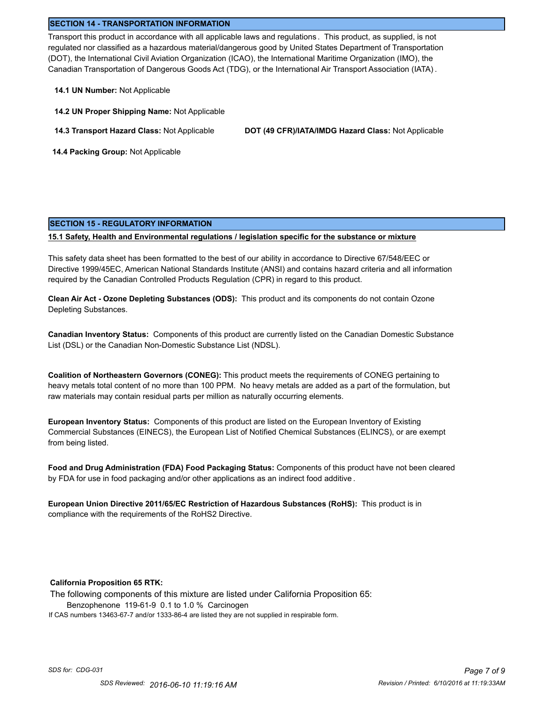### **SECTION 14 - TRANSPORTATION INFORMATION**

Transport this product in accordance with all applicable laws and regulations . This product, as supplied, is not regulated nor classified as a hazardous material/dangerous good by United States Department of Transportation (DOT), the International Civil Aviation Organization (ICAO), the International Maritime Organization (IMO), the Canadian Transportation of Dangerous Goods Act (TDG), or the International Air Transport Association (IATA) .

- **14.1 UN Number:** Not Applicable
- **14.2 UN Proper Shipping Name:** Not Applicable
- 

**14.3 Transport Hazard Class:** Not Applicable **DOT (49 CFR)/IATA/IMDG Hazard Class:** Not Applicable

 **14.4 Packing Group:** Not Applicable

#### **SECTION 15 - REGULATORY INFORMATION**

### **15.1 Safety, Health and Environmental regulations / legislation specific for the substance or mixture**

This safety data sheet has been formatted to the best of our ability in accordance to Directive 67/548/EEC or Directive 1999/45EC, American National Standards Institute (ANSI) and contains hazard criteria and all information required by the Canadian Controlled Products Regulation (CPR) in regard to this product.

**Clean Air Act - Ozone Depleting Substances (ODS):** This product and its components do not contain Ozone Depleting Substances.

**Canadian Inventory Status:** Components of this product are currently listed on the Canadian Domestic Substance List (DSL) or the Canadian Non-Domestic Substance List (NDSL).

**Coalition of Northeastern Governors (CONEG):** This product meets the requirements of CONEG pertaining to heavy metals total content of no more than 100 PPM. No heavy metals are added as a part of the formulation, but raw materials may contain residual parts per million as naturally occurring elements.

**European Inventory Status:** Components of this product are listed on the European Inventory of Existing Commercial Substances (EINECS), the European List of Notified Chemical Substances (ELINCS), or are exempt from being listed.

**Food and Drug Administration (FDA) Food Packaging Status:** Components of this product have not been cleared by FDA for use in food packaging and/or other applications as an indirect food additive .

**European Union Directive 2011/65/EC Restriction of Hazardous Substances (RoHS):** This product is in compliance with the requirements of the RoHS2 Directive.

## **California Proposition 65 RTK:**

The following components of this mixture are listed under California Proposition 65: Benzophenone 119-61-9 0.1 to 1.0 % Carcinogen If CAS numbers 13463-67-7 and/or 1333-86-4 are listed they are not supplied in respirable form.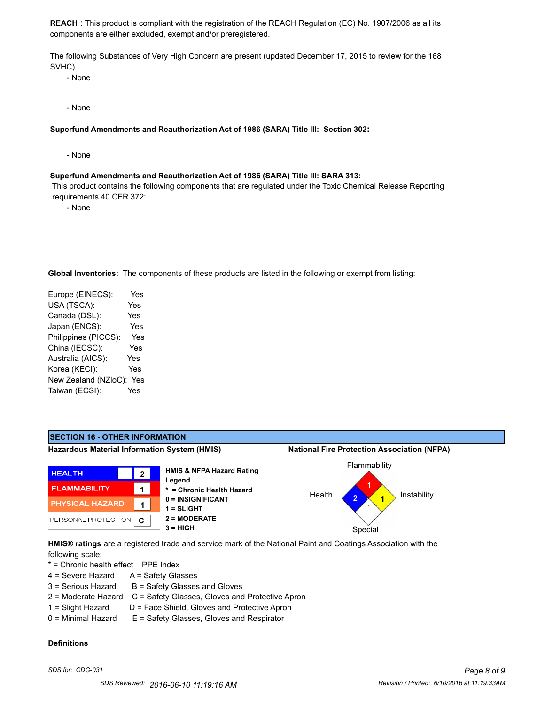**REACH** : This product is compliant with the registration of the REACH Regulation (EC) No. 1907/2006 as all its components are either excluded, exempt and/or preregistered.

The following Substances of Very High Concern are present (updated December 17, 2015 to review for the 168 SVHC)

- None

- None

### **Superfund Amendments and Reauthorization Act of 1986 (SARA) Title III: Section 302:**

- None

#### **Superfund Amendments and Reauthorization Act of 1986 (SARA) Title III: SARA 313:**

 This product contains the following components that are regulated under the Toxic Chemical Release Reporting requirements 40 CFR 372:

- None

**Global Inventories:** The components of these products are listed in the following or exempt from listing:

| Europe (EINECS):     | Yes |
|----------------------|-----|
| USA (TSCA):          | Yes |
| Canada (DSL):        | Yes |
| Japan (ENCS):        | Yes |
| Philippines (PICCS): | Yes |
| China (IECSC):       | Yes |
| Australia (AICS):    | Yes |
| Korea (KECI):        | Yes |
| New Zealand (NZloC): | Yes |
| Taiwan (ECSI):       | Yes |
|                      |     |



following scale:

\* = Chronic health effect PPE Index

- 4 = Severe Hazard A = Safety Glasses
- $3 =$  Serious Hazard  $B =$  Safety Glasses and Gloves
- 2 = Moderate Hazard C = Safety Glasses, Gloves and Protective Apron
- 1 = Slight Hazard D = Face Shield, Gloves and Protective Apron
- 0 = Minimal Hazard E = Safety Glasses, Gloves and Respirator

## **Definitions**